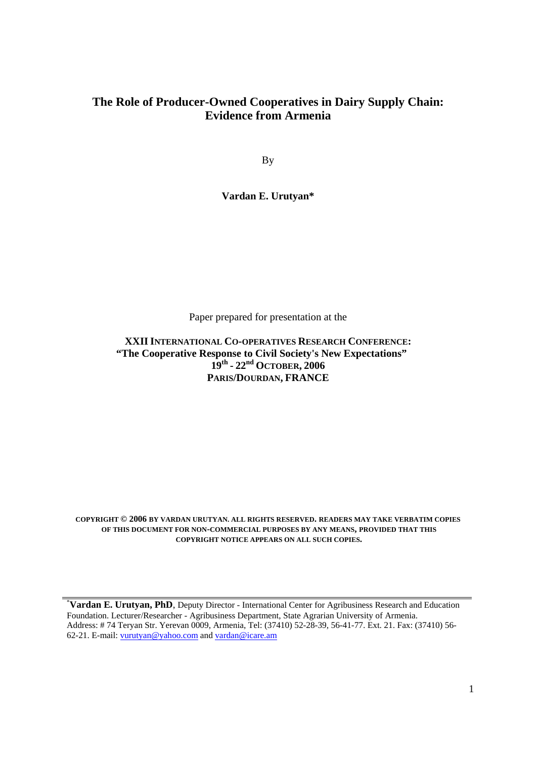# **The Role of Producer-Owned Cooperatives in Dairy Supply Chain: Evidence from Armenia**

By

**Vardan E. Urutyan\*** 

Paper prepared for presentation at the

# **XXIIINTERNATIONAL CO-OPERATIVES RESEARCH CONFERENCE: "The Cooperative Response to Civil Society's New Expectations" 19th - 22nd OCTOBER, 2006 PARIS/DOURDAN, FRANCE**

**COPYRIGHT © 2006 BY VARDAN URUTYAN. ALL RIGHTS RESERVED. READERS MAY TAKE VERBATIM COPIES OF THIS DOCUMENT FOR NON-COMMERCIAL PURPOSES BY ANY MEANS, PROVIDED THAT THIS COPYRIGHT NOTICE APPEARS ON ALL SUCH COPIES.**

\* **Vardan E. Urutyan, PhD**, Deputy Director - International Center for Agribusiness Research and Education Foundation. Lecturer/Researcher - Agribusiness Department, State Agrarian University of Armenia. Address: # 74 Teryan Str. Yerevan 0009, Armenia, Tel: (37410) 52-28-39, 56-41-77. Ext. 21. Fax: (37410) 56- 62-21. E-mail: vurutyan@yahoo.com and vardan@icare.am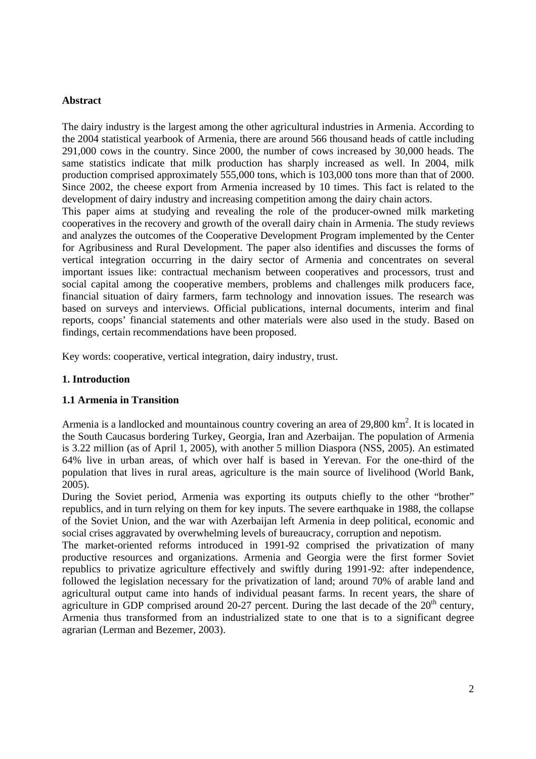### **Abstract**

The dairy industry is the largest among the other agricultural industries in Armenia. According to the 2004 statistical yearbook of Armenia, there are around 566 thousand heads of cattle including 291,000 cows in the country. Since 2000, the number of cows increased by 30,000 heads. The same statistics indicate that milk production has sharply increased as well. In 2004, milk production comprised approximately 555,000 tons, which is 103,000 tons more than that of 2000. Since 2002, the cheese export from Armenia increased by 10 times. This fact is related to the development of dairy industry and increasing competition among the dairy chain actors.

This paper aims at studying and revealing the role of the producer-owned milk marketing cooperatives in the recovery and growth of the overall dairy chain in Armenia. The study reviews and analyzes the outcomes of the Cooperative Development Program implemented by the Center for Agribusiness and Rural Development. The paper also identifies and discusses the forms of vertical integration occurring in the dairy sector of Armenia and concentrates on several important issues like: contractual mechanism between cooperatives and processors, trust and social capital among the cooperative members, problems and challenges milk producers face, financial situation of dairy farmers, farm technology and innovation issues. The research was based on surveys and interviews. Official publications, internal documents, interim and final reports, coops' financial statements and other materials were also used in the study. Based on findings, certain recommendations have been proposed.

Key words: cooperative, vertical integration, dairy industry, trust.

# **1. Introduction**

# **1.1 Armenia in Transition**

Armenia is a landlocked and mountainous country covering an area of  $29,800 \text{ km}^2$ . It is located in the South Caucasus bordering Turkey, Georgia, Iran and Azerbaijan. The population of Armenia is 3.22 million (as of April 1, 2005), with another 5 million Diaspora (NSS, 2005). An estimated 64% live in urban areas, of which over half is based in Yerevan. For the one-third of the population that lives in rural areas, agriculture is the main source of livelihood (World Bank, 2005).

During the Soviet period, Armenia was exporting its outputs chiefly to the other "brother" republics, and in turn relying on them for key inputs. The severe earthquake in 1988, the collapse of the Soviet Union, and the war with Azerbaijan left Armenia in deep political, economic and social crises aggravated by overwhelming levels of bureaucracy, corruption and nepotism.

The market-oriented reforms introduced in 1991-92 comprised the privatization of many productive resources and organizations. Armenia and Georgia were the first former Soviet republics to privatize agriculture effectively and swiftly during 1991-92: after independence, followed the legislation necessary for the privatization of land; around 70% of arable land and agricultural output came into hands of individual peasant farms. In recent years, the share of agriculture in GDP comprised around 20-27 percent. During the last decade of the  $20<sup>th</sup>$  century, Armenia thus transformed from an industrialized state to one that is to a significant degree agrarian (Lerman and Bezemer, 2003).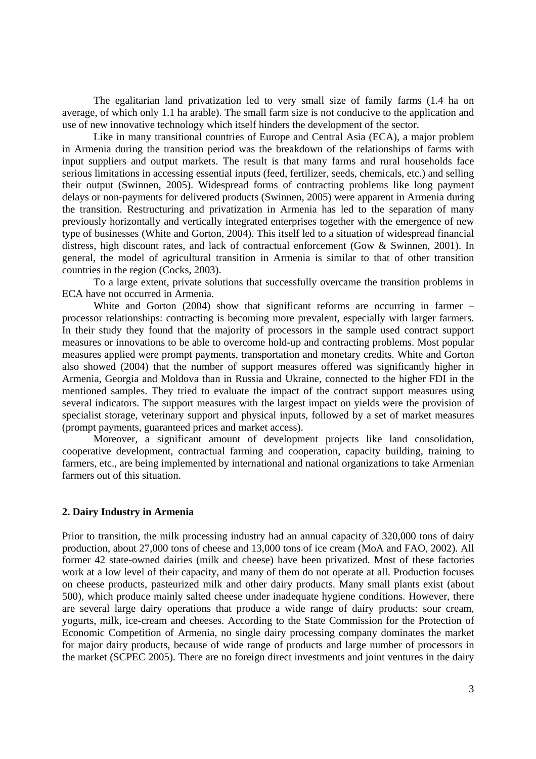The egalitarian land privatization led to very small size of family farms (1.4 ha on average, of which only 1.1 ha arable). The small farm size is not conducive to the application and use of new innovative technology which itself hinders the development of the sector.

Like in many transitional countries of Europe and Central Asia (ECA), a major problem in Armenia during the transition period was the breakdown of the relationships of farms with input suppliers and output markets. The result is that many farms and rural households face serious limitations in accessing essential inputs (feed, fertilizer, seeds, chemicals, etc.) and selling their output (Swinnen, 2005). Widespread forms of contracting problems like long payment delays or non-payments for delivered products (Swinnen, 2005) were apparent in Armenia during the transition. Restructuring and privatization in Armenia has led to the separation of many previously horizontally and vertically integrated enterprises together with the emergence of new type of businesses (White and Gorton, 2004). This itself led to a situation of widespread financial distress, high discount rates, and lack of contractual enforcement (Gow & Swinnen, 2001). In general, the model of agricultural transition in Armenia is similar to that of other transition countries in the region (Cocks, 2003).

To a large extent, private solutions that successfully overcame the transition problems in ECA have not occurred in Armenia.

White and Gorton (2004) show that significant reforms are occurring in farmer – processor relationships: contracting is becoming more prevalent, especially with larger farmers. In their study they found that the majority of processors in the sample used contract support measures or innovations to be able to overcome hold-up and contracting problems. Most popular measures applied were prompt payments, transportation and monetary credits. White and Gorton also showed (2004) that the number of support measures offered was significantly higher in Armenia, Georgia and Moldova than in Russia and Ukraine, connected to the higher FDI in the mentioned samples. They tried to evaluate the impact of the contract support measures using several indicators. The support measures with the largest impact on yields were the provision of specialist storage, veterinary support and physical inputs, followed by a set of market measures (prompt payments, guaranteed prices and market access).

Moreover, a significant amount of development projects like land consolidation, cooperative development, contractual farming and cooperation, capacity building, training to farmers, etc., are being implemented by international and national organizations to take Armenian farmers out of this situation.

### **2. Dairy Industry in Armenia**

Prior to transition, the milk processing industry had an annual capacity of 320,000 tons of dairy production, about 27,000 tons of cheese and 13,000 tons of ice cream (MoA and FAO, 2002). All former 42 state-owned dairies (milk and cheese) have been privatized. Most of these factories work at a low level of their capacity, and many of them do not operate at all. Production focuses on cheese products, pasteurized milk and other dairy products. Many small plants exist (about 500), which produce mainly salted cheese under inadequate hygiene conditions. However, there are several large dairy operations that produce a wide range of dairy products: sour cream, yogurts, milk, ice-cream and cheeses. According to the State Commission for the Protection of Economic Competition of Armenia, no single dairy processing company dominates the market for major dairy products, because of wide range of products and large number of processors in the market (SCPEC 2005). There are no foreign direct investments and joint ventures in the dairy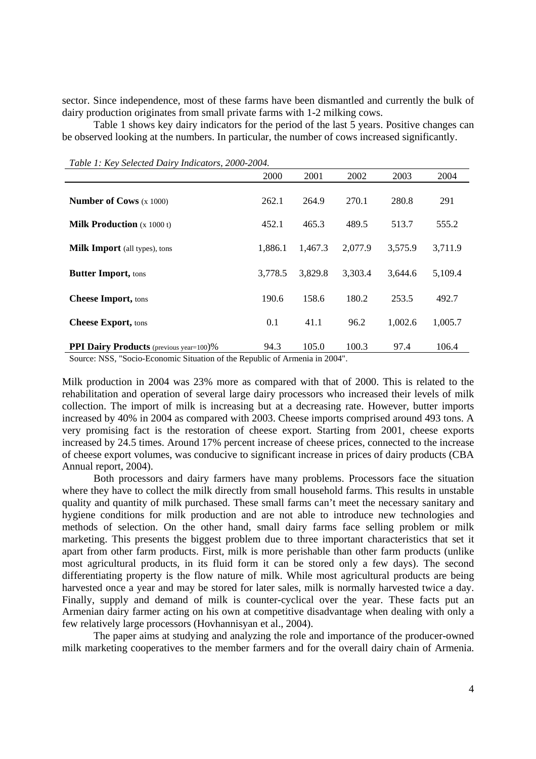sector. Since independence, most of these farms have been dismantled and currently the bulk of dairy production originates from small private farms with 1-2 milking cows.

Table 1 shows key dairy indicators for the period of the last 5 years. Positive changes can be observed looking at the numbers. In particular, the number of cows increased significantly.

|                                                                 | 2000    | 2001                                               | 2002    | 2003    | 2004    |
|-----------------------------------------------------------------|---------|----------------------------------------------------|---------|---------|---------|
| <b>Number of Cows</b> $(x 1000)$                                | 262.1   | 264.9                                              | 270.1   | 280.8   | 291     |
| <b>Milk Production</b> $(x 1000 t)$                             | 452.1   | 465.3                                              | 489.5   | 513.7   | 555.2   |
| <b>Milk Import</b> (all types), tons                            | 1,886.1 | 1,467.3                                            | 2,077.9 | 3,575.9 | 3,711.9 |
| <b>Butter Import, tons</b>                                      | 3,778.5 | 3,829.8                                            | 3,303.4 | 3,644.6 | 5,109.4 |
| <b>Cheese Import, tons</b>                                      | 190.6   | 158.6                                              | 180.2   | 253.5   | 492.7   |
| <b>Cheese Export, tons</b>                                      | 0.1     | 41.1                                               | 96.2    | 1,002.6 | 1,005.7 |
| <b>PPI Dairy Products</b> (previous year=100)%<br>$\frac{1}{2}$ | 94.3    | 105.0<br>$\sim$ $\sim$ $\sim$ $\sim$ $\sim$ $\sim$ | 100.3   | 97.4    | 106.4   |

*Table 1: Key Selected Dairy Indicators, 2000-2004.* 

Source: NSS, "Socio-Economic Situation of the Republic of Armenia in 2004".

Milk production in 2004 was 23% more as compared with that of 2000. This is related to the rehabilitation and operation of several large dairy processors who increased their levels of milk collection. The import of milk is increasing but at a decreasing rate. However, butter imports increased by 40% in 2004 as compared with 2003. Cheese imports comprised around 493 tons. A very promising fact is the restoration of cheese export. Starting from 2001, cheese exports increased by 24.5 times. Around 17% percent increase of cheese prices, connected to the increase of cheese export volumes, was conducive to significant increase in prices of dairy products (CBA Annual report, 2004).

Both processors and dairy farmers have many problems. Processors face the situation where they have to collect the milk directly from small household farms. This results in unstable quality and quantity of milk purchased. These small farms can't meet the necessary sanitary and hygiene conditions for milk production and are not able to introduce new technologies and methods of selection. On the other hand, small dairy farms face selling problem or milk marketing. This presents the biggest problem due to three important characteristics that set it apart from other farm products. First, milk is more perishable than other farm products (unlike most agricultural products, in its fluid form it can be stored only a few days). The second differentiating property is the flow nature of milk. While most agricultural products are being harvested once a year and may be stored for later sales, milk is normally harvested twice a day. Finally, supply and demand of milk is counter-cyclical over the year. These facts put an Armenian dairy farmer acting on his own at competitive disadvantage when dealing with only a few relatively large processors (Hovhannisyan et al., 2004).

The paper aims at studying and analyzing the role and importance of the producer-owned milk marketing cooperatives to the member farmers and for the overall dairy chain of Armenia.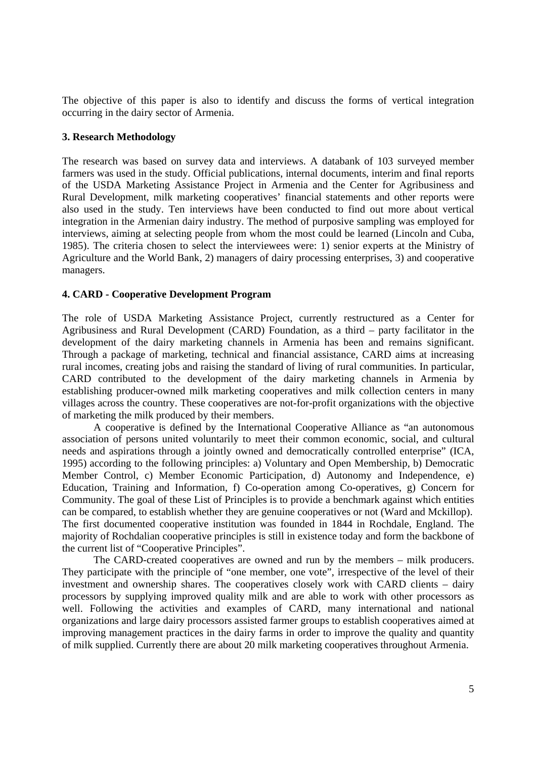The objective of this paper is also to identify and discuss the forms of vertical integration occurring in the dairy sector of Armenia.

### **3. Research Methodology**

The research was based on survey data and interviews. A databank of 103 surveyed member farmers was used in the study. Official publications, internal documents, interim and final reports of the USDA Marketing Assistance Project in Armenia and the Center for Agribusiness and Rural Development, milk marketing cooperatives' financial statements and other reports were also used in the study. Ten interviews have been conducted to find out more about vertical integration in the Armenian dairy industry. The method of purposive sampling was employed for interviews, aiming at selecting people from whom the most could be learned (Lincoln and Cuba, 1985). The criteria chosen to select the interviewees were: 1) senior experts at the Ministry of Agriculture and the World Bank, 2) managers of dairy processing enterprises, 3) and cooperative managers.

# **4. CARD - Cooperative Development Program**

The role of USDA Marketing Assistance Project, currently restructured as a Center for Agribusiness and Rural Development (CARD) Foundation, as a third – party facilitator in the development of the dairy marketing channels in Armenia has been and remains significant. Through a package of marketing, technical and financial assistance, CARD aims at increasing rural incomes, creating jobs and raising the standard of living of rural communities. In particular, CARD contributed to the development of the dairy marketing channels in Armenia by establishing producer-owned milk marketing cooperatives and milk collection centers in many villages across the country. These cooperatives are not-for-profit organizations with the objective of marketing the milk produced by their members.

A cooperative is defined by the International Cooperative Alliance as "an autonomous association of persons united voluntarily to meet their common economic, social, and cultural needs and aspirations through a jointly owned and democratically controlled enterprise" (ICA, 1995) according to the following principles: a) Voluntary and Open Membership, b) Democratic Member Control, c) Member Economic Participation, d) Autonomy and Independence, e) Education, Training and Information, f) Co-operation among Co-operatives, g) Concern for Community. The goal of these List of Principles is to provide a benchmark against which entities can be compared, to establish whether they are genuine cooperatives or not (Ward and Mckillop). The first documented cooperative institution was founded in 1844 in Rochdale, England. The majority of Rochdalian cooperative principles is still in existence today and form the backbone of the current list of "Cooperative Principles".

The CARD-created cooperatives are owned and run by the members – milk producers. They participate with the principle of "one member, one vote", irrespective of the level of their investment and ownership shares. The cooperatives closely work with CARD clients – dairy processors by supplying improved quality milk and are able to work with other processors as well. Following the activities and examples of CARD, many international and national organizations and large dairy processors assisted farmer groups to establish cooperatives aimed at improving management practices in the dairy farms in order to improve the quality and quantity of milk supplied. Currently there are about 20 milk marketing cooperatives throughout Armenia.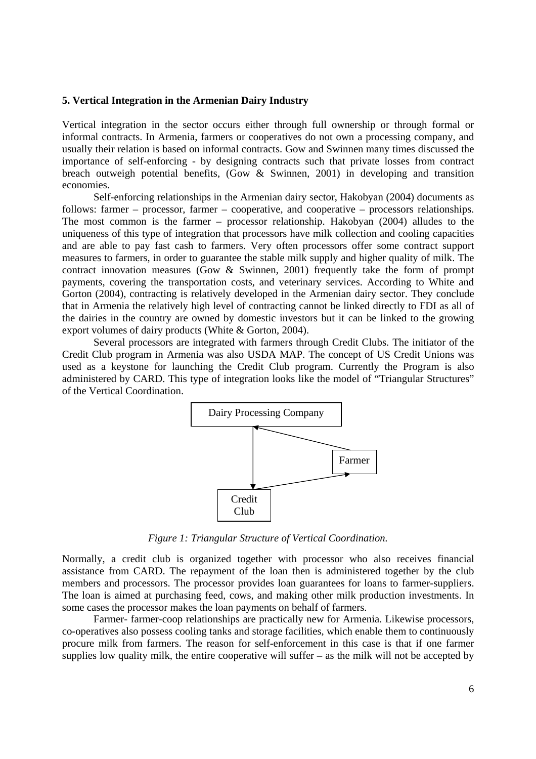#### **5. Vertical Integration in the Armenian Dairy Industry**

Vertical integration in the sector occurs either through full ownership or through formal or informal contracts. In Armenia, farmers or cooperatives do not own a processing company, and usually their relation is based on informal contracts. Gow and Swinnen many times discussed the importance of self-enforcing - by designing contracts such that private losses from contract breach outweigh potential benefits, (Gow & Swinnen, 2001) in developing and transition economies.

Self-enforcing relationships in the Armenian dairy sector, Hakobyan (2004) documents as follows: farmer – processor, farmer – cooperative, and cooperative – processors relationships. The most common is the farmer – processor relationship. Hakobyan (2004) alludes to the uniqueness of this type of integration that processors have milk collection and cooling capacities and are able to pay fast cash to farmers. Very often processors offer some contract support measures to farmers, in order to guarantee the stable milk supply and higher quality of milk. The contract innovation measures (Gow & Swinnen, 2001) frequently take the form of prompt payments, covering the transportation costs, and veterinary services. According to White and Gorton (2004), contracting is relatively developed in the Armenian dairy sector. They conclude that in Armenia the relatively high level of contracting cannot be linked directly to FDI as all of the dairies in the country are owned by domestic investors but it can be linked to the growing export volumes of dairy products (White & Gorton, 2004).

Several processors are integrated with farmers through Credit Clubs. The initiator of the Credit Club program in Armenia was also USDA MAP. The concept of US Credit Unions was used as a keystone for launching the Credit Club program. Currently the Program is also administered by CARD. This type of integration looks like the model of "Triangular Structures" of the Vertical Coordination.



*Figure 1: Triangular Structure of Vertical Coordination.* 

Normally, a credit club is organized together with processor who also receives financial assistance from CARD. The repayment of the loan then is administered together by the club members and processors. The processor provides loan guarantees for loans to farmer-suppliers. The loan is aimed at purchasing feed, cows, and making other milk production investments. In some cases the processor makes the loan payments on behalf of farmers.

Farmer- farmer-coop relationships are practically new for Armenia. Likewise processors, co-operatives also possess cooling tanks and storage facilities, which enable them to continuously procure milk from farmers. The reason for self-enforcement in this case is that if one farmer supplies low quality milk, the entire cooperative will suffer – as the milk will not be accepted by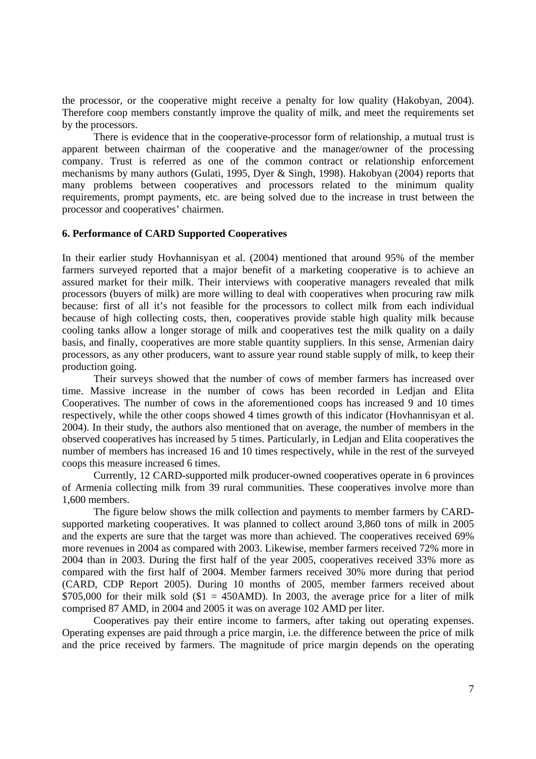the processor, or the cooperative might receive a penalty for low quality (Hakobyan, 2004). Therefore coop members constantly improve the quality of milk, and meet the requirements set by the processors.

There is evidence that in the cooperative-processor form of relationship, a mutual trust is apparent between chairman of the cooperative and the manager/owner of the processing company. Trust is referred as one of the common contract or relationship enforcement mechanisms by many authors (Gulati, 1995, Dyer & Singh, 1998). Hakobyan (2004) reports that many problems between cooperatives and processors related to the minimum quality requirements, prompt payments, etc. are being solved due to the increase in trust between the processor and cooperatives' chairmen.

#### **6. Performance of CARD Supported Cooperatives**

In their earlier study Hovhannisyan et al. (2004) mentioned that around 95% of the member farmers surveyed reported that a major benefit of a marketing cooperative is to achieve an assured market for their milk. Their interviews with cooperative managers revealed that milk processors (buyers of milk) are more willing to deal with cooperatives when procuring raw milk because: first of all it's not feasible for the processors to collect milk from each individual because of high collecting costs, then, cooperatives provide stable high quality milk because cooling tanks allow a longer storage of milk and cooperatives test the milk quality on a daily basis, and finally, cooperatives are more stable quantity suppliers. In this sense, Armenian dairy processors, as any other producers, want to assure year round stable supply of milk, to keep their production going.

Their surveys showed that the number of cows of member farmers has increased over time. Massive increase in the number of cows has been recorded in Ledjan and Elita Cooperatives. The number of cows in the aforementioned coops has increased 9 and 10 times respectively, while the other coops showed 4 times growth of this indicator (Hovhannisyan et al. 2004). In their study, the authors also mentioned that on average, the number of members in the observed cooperatives has increased by 5 times. Particularly, in Ledjan and Elita cooperatives the number of members has increased 16 and 10 times respectively, while in the rest of the surveyed coops this measure increased 6 times.

Currently, 12 CARD-supported milk producer-owned cooperatives operate in 6 provinces of Armenia collecting milk from 39 rural communities. These cooperatives involve more than 1,600 members.

The figure below shows the milk collection and payments to member farmers by CARDsupported marketing cooperatives. It was planned to collect around 3,860 tons of milk in 2005 and the experts are sure that the target was more than achieved. The cooperatives received 69% more revenues in 2004 as compared with 2003. Likewise, member farmers received 72% more in 2004 than in 2003. During the first half of the year 2005, cooperatives received 33% more as compared with the first half of 2004. Member farmers received 30% more during that period (CARD, CDP Report 2005). During 10 months of 2005, member farmers received about \$705,000 for their milk sold (\$1 = 450AMD). In 2003, the average price for a liter of milk comprised 87 AMD, in 2004 and 2005 it was on average 102 AMD per liter.

 Cooperatives pay their entire income to farmers, after taking out operating expenses. Operating expenses are paid through a price margin, i.e. the difference between the price of milk and the price received by farmers. The magnitude of price margin depends on the operating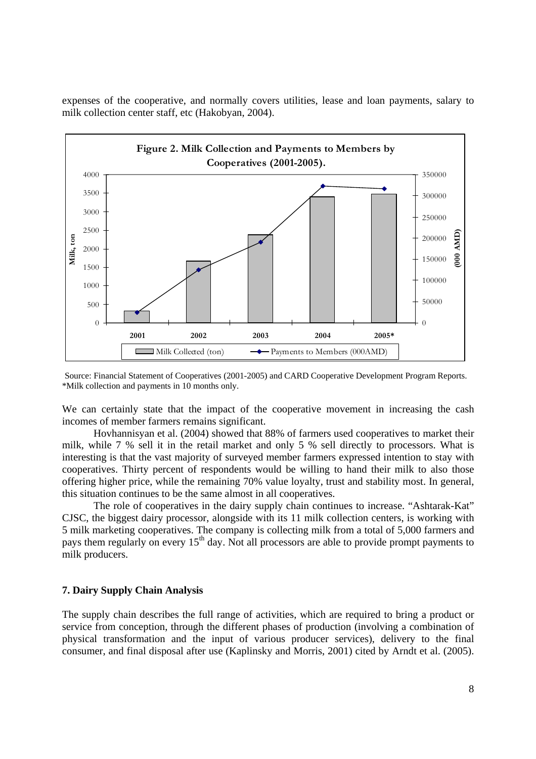expenses of the cooperative, and normally covers utilities, lease and loan payments, salary to milk collection center staff, etc (Hakobyan, 2004).



Source: Financial Statement of Cooperatives (2001-2005) and CARD Cooperative Development Program Reports. \*Milk collection and payments in 10 months only.

We can certainly state that the impact of the cooperative movement in increasing the cash incomes of member farmers remains significant.

Hovhannisyan et al. (2004) showed that 88% of farmers used cooperatives to market their milk, while 7 % sell it in the retail market and only 5 % sell directly to processors. What is interesting is that the vast majority of surveyed member farmers expressed intention to stay with cooperatives. Thirty percent of respondents would be willing to hand their milk to also those offering higher price, while the remaining 70% value loyalty, trust and stability most. In general, this situation continues to be the same almost in all cooperatives.

The role of cooperatives in the dairy supply chain continues to increase. "Ashtarak-Kat" CJSC, the biggest dairy processor, alongside with its 11 milk collection centers, is working with 5 milk marketing cooperatives. The company is collecting milk from a total of 5,000 farmers and pays them regularly on every  $15<sup>th</sup>$  day. Not all processors are able to provide prompt payments to milk producers.

### **7. Dairy Supply Chain Analysis**

The supply chain describes the full range of activities, which are required to bring a product or service from conception, through the different phases of production (involving a combination of physical transformation and the input of various producer services), delivery to the final consumer, and final disposal after use (Kaplinsky and Morris, 2001) cited by Arndt et al. (2005).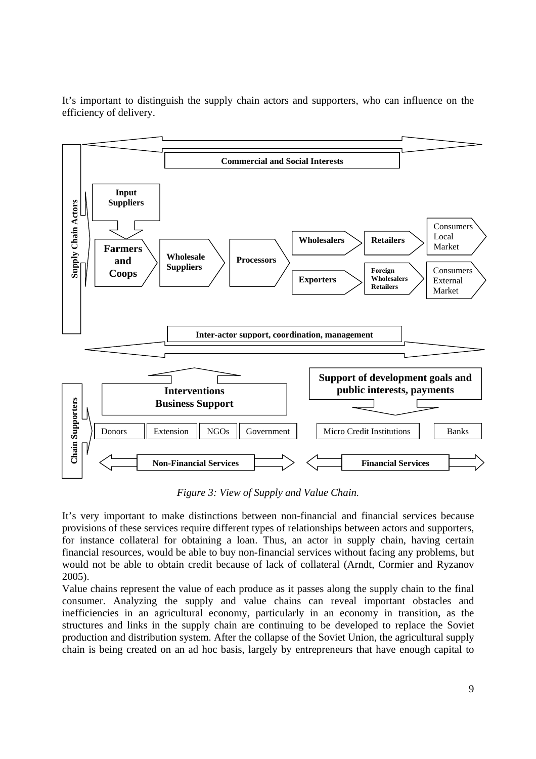It's important to distinguish the supply chain actors and supporters, who can influence on the efficiency of delivery.



*Figure 3: View of Supply and Value Chain.* 

It's very important to make distinctions between non-financial and financial services because provisions of these services require different types of relationships between actors and supporters, for instance collateral for obtaining a loan. Thus, an actor in supply chain, having certain financial resources, would be able to buy non-financial services without facing any problems, but would not be able to obtain credit because of lack of collateral (Arndt, Cormier and Ryzanov 2005).

Value chains represent the value of each produce as it passes along the supply chain to the final consumer. Analyzing the supply and value chains can reveal important obstacles and inefficiencies in an agricultural economy, particularly in an economy in transition, as the structures and links in the supply chain are continuing to be developed to replace the Soviet production and distribution system. After the collapse of the Soviet Union, the agricultural supply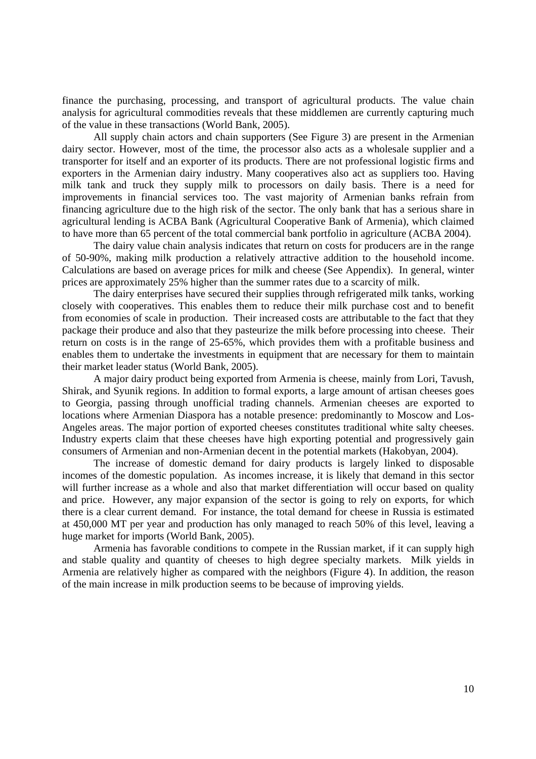finance the purchasing, processing, and transport of agricultural products. The value chain analysis for agricultural commodities reveals that these middlemen are currently capturing much of the value in these transactions (World Bank, 2005).

All supply chain actors and chain supporters (See Figure 3) are present in the Armenian dairy sector. However, most of the time, the processor also acts as a wholesale supplier and a transporter for itself and an exporter of its products. There are not professional logistic firms and exporters in the Armenian dairy industry. Many cooperatives also act as suppliers too. Having milk tank and truck they supply milk to processors on daily basis. There is a need for improvements in financial services too. The vast majority of Armenian banks refrain from financing agriculture due to the high risk of the sector. The only bank that has a serious share in agricultural lending is ACBA Bank (Agricultural Cooperative Bank of Armenia), which claimed to have more than 65 percent of the total commercial bank portfolio in agriculture (ACBA 2004).

The dairy value chain analysis indicates that return on costs for producers are in the range of 50-90%, making milk production a relatively attractive addition to the household income. Calculations are based on average prices for milk and cheese (See Appendix). In general, winter prices are approximately 25% higher than the summer rates due to a scarcity of milk.

The dairy enterprises have secured their supplies through refrigerated milk tanks, working closely with cooperatives. This enables them to reduce their milk purchase cost and to benefit from economies of scale in production. Their increased costs are attributable to the fact that they package their produce and also that they pasteurize the milk before processing into cheese. Their return on costs is in the range of 25-65%, which provides them with a profitable business and enables them to undertake the investments in equipment that are necessary for them to maintain their market leader status (World Bank, 2005).

A major dairy product being exported from Armenia is cheese, mainly from Lori, Tavush, Shirak, and Syunik regions. In addition to formal exports, a large amount of artisan cheeses goes to Georgia, passing through unofficial trading channels. Armenian cheeses are exported to locations where Armenian Diaspora has a notable presence: predominantly to Moscow and Los-Angeles areas. The major portion of exported cheeses constitutes traditional white salty cheeses. Industry experts claim that these cheeses have high exporting potential and progressively gain consumers of Armenian and non-Armenian decent in the potential markets (Hakobyan, 2004).

The increase of domestic demand for dairy products is largely linked to disposable incomes of the domestic population. As incomes increase, it is likely that demand in this sector will further increase as a whole and also that market differentiation will occur based on quality and price. However, any major expansion of the sector is going to rely on exports, for which there is a clear current demand. For instance, the total demand for cheese in Russia is estimated at 450,000 MT per year and production has only managed to reach 50% of this level, leaving a huge market for imports (World Bank, 2005).

Armenia has favorable conditions to compete in the Russian market, if it can supply high and stable quality and quantity of cheeses to high degree specialty markets. Milk yields in Armenia are relatively higher as compared with the neighbors (Figure 4). In addition, the reason of the main increase in milk production seems to be because of improving yields.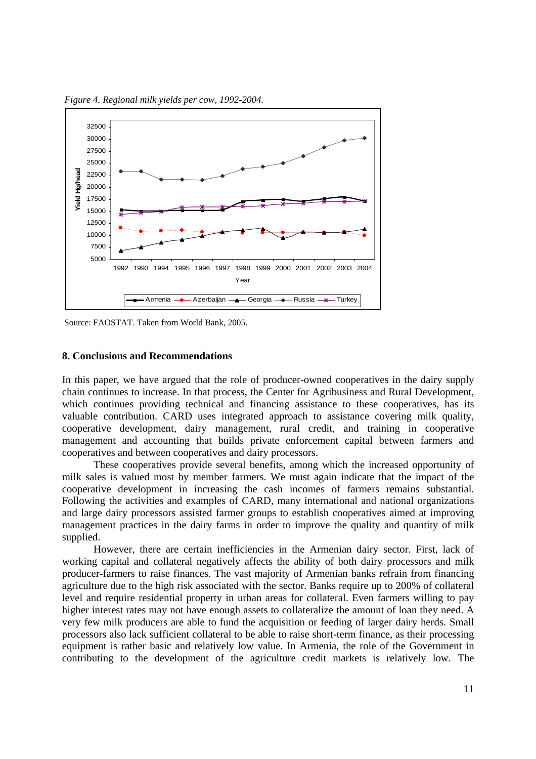



Source: FAOSTAT. Taken from World Bank, 2005.

#### **8. Conclusions and Recommendations**

In this paper, we have argued that the role of producer-owned cooperatives in the dairy supply chain continues to increase. In that process, the Center for Agribusiness and Rural Development, which continues providing technical and financing assistance to these cooperatives, has its valuable contribution. CARD uses integrated approach to assistance covering milk quality, cooperative development, dairy management, rural credit, and training in cooperative management and accounting that builds private enforcement capital between farmers and cooperatives and between cooperatives and dairy processors.

These cooperatives provide several benefits, among which the increased opportunity of milk sales is valued most by member farmers. We must again indicate that the impact of the cooperative development in increasing the cash incomes of farmers remains substantial. Following the activities and examples of CARD, many international and national organizations and large dairy processors assisted farmer groups to establish cooperatives aimed at improving management practices in the dairy farms in order to improve the quality and quantity of milk supplied.

However, there are certain inefficiencies in the Armenian dairy sector. First, lack of working capital and collateral negatively affects the ability of both dairy processors and milk producer-farmers to raise finances. The vast majority of Armenian banks refrain from financing agriculture due to the high risk associated with the sector. Banks require up to 200% of collateral level and require residential property in urban areas for collateral. Even farmers willing to pay higher interest rates may not have enough assets to collateralize the amount of loan they need. A very few milk producers are able to fund the acquisition or feeding of larger dairy herds. Small processors also lack sufficient collateral to be able to raise short-term finance, as their processing equipment is rather basic and relatively low value. In Armenia, the role of the Government in contributing to the development of the agriculture credit markets is relatively low. The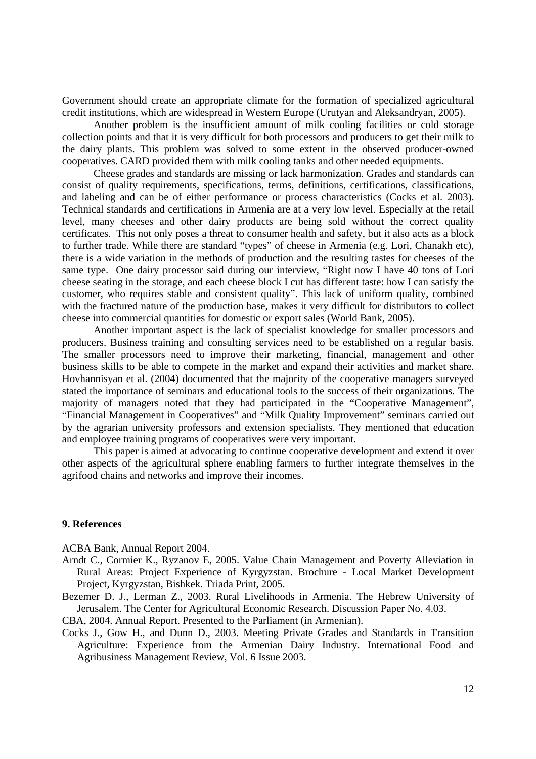Government should create an appropriate climate for the formation of specialized agricultural credit institutions, which are widespread in Western Europe (Urutyan and Aleksandryan, 2005).

Another problem is the insufficient amount of milk cooling facilities or cold storage collection points and that it is very difficult for both processors and producers to get their milk to the dairy plants. This problem was solved to some extent in the observed producer-owned cooperatives. CARD provided them with milk cooling tanks and other needed equipments.

Cheese grades and standards are missing or lack harmonization. Grades and standards can consist of quality requirements, specifications, terms, definitions, certifications, classifications, and labeling and can be of either performance or process characteristics (Cocks et al. 2003). Technical standards and certifications in Armenia are at a very low level. Especially at the retail level, many cheeses and other dairy products are being sold without the correct quality certificates. This not only poses a threat to consumer health and safety, but it also acts as a block to further trade. While there are standard "types" of cheese in Armenia (e.g. Lori, Chanakh etc), there is a wide variation in the methods of production and the resulting tastes for cheeses of the same type. One dairy processor said during our interview, "Right now I have 40 tons of Lori cheese seating in the storage, and each cheese block I cut has different taste: how I can satisfy the customer, who requires stable and consistent quality". This lack of uniform quality, combined with the fractured nature of the production base, makes it very difficult for distributors to collect cheese into commercial quantities for domestic or export sales (World Bank, 2005).

Another important aspect is the lack of specialist knowledge for smaller processors and producers. Business training and consulting services need to be established on a regular basis. The smaller processors need to improve their marketing, financial, management and other business skills to be able to compete in the market and expand their activities and market share. Hovhannisyan et al. (2004) documented that the majority of the cooperative managers surveyed stated the importance of seminars and educational tools to the success of their organizations. The majority of managers noted that they had participated in the "Cooperative Management", "Financial Management in Cooperatives" and "Milk Quality Improvement" seminars carried out by the agrarian university professors and extension specialists. They mentioned that education and employee training programs of cooperatives were very important.

This paper is aimed at advocating to continue cooperative development and extend it over other aspects of the agricultural sphere enabling farmers to further integrate themselves in the agrifood chains and networks and improve their incomes.

#### **9. References**

ACBA Bank, Annual Report 2004.

- Arndt C., Cormier K., Ryzanov E, 2005. Value Chain Management and Poverty Alleviation in Rural Areas: Project Experience of Kyrgyzstan. Brochure - Local Market Development Project, Kyrgyzstan, Bishkek. Triada Print, 2005.
- Bezemer D. J., Lerman Z., 2003. Rural Livelihoods in Armenia. The Hebrew University of Jerusalem. The Center for Agricultural Economic Research. Discussion Paper No. 4.03.

CBA, 2004. Annual Report. Presented to the Parliament (in Armenian).

Cocks J., Gow H., and Dunn D., 2003. Meeting Private Grades and Standards in Transition Agriculture: Experience from the Armenian Dairy Industry. International Food and Agribusiness Management Review, Vol. 6 Issue 2003.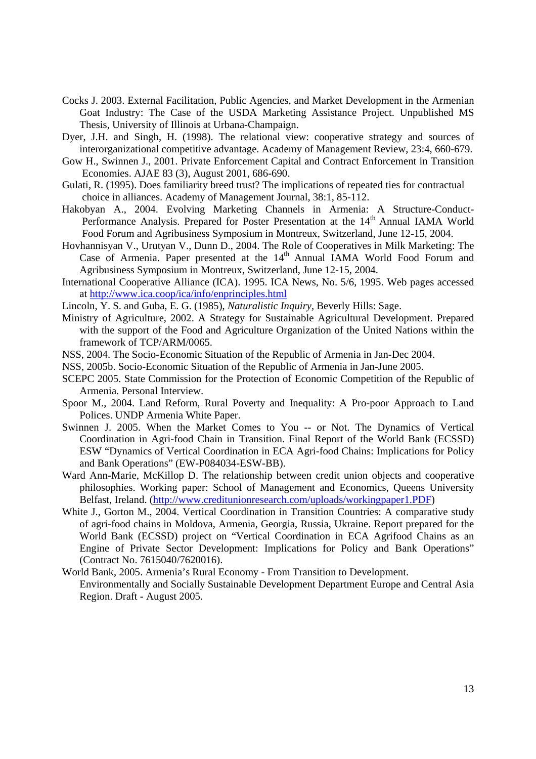- Cocks J. 2003. External Facilitation, Public Agencies, and Market Development in the Armenian Goat Industry: The Case of the USDA Marketing Assistance Project. Unpublished MS Thesis, University of Illinois at Urbana-Champaign.
- Dyer, J.H. and Singh, H. (1998). The relational view: cooperative strategy and sources of interorganizational competitive advantage. Academy of Management Review, 23:4, 660-679.
- Gow H., Swinnen J., 2001. Private Enforcement Capital and Contract Enforcement in Transition Economies. AJAE 83 (3), August 2001, 686-690.
- Gulati, R. (1995). Does familiarity breed trust? The implications of repeated ties for contractual choice in alliances. Academy of Management Journal, 38:1, 85-112.
- Hakobyan A., 2004. Evolving Marketing Channels in Armenia: A Structure-Conduct-Performance Analysis. Prepared for Poster Presentation at the 14<sup>th</sup> Annual IAMA World Food Forum and Agribusiness Symposium in Montreux, Switzerland, June 12-15, 2004.
- Hovhannisyan V., Urutyan V., Dunn D., 2004. The Role of Cooperatives in Milk Marketing: The Case of Armenia. Paper presented at the 14<sup>th</sup> Annual IAMA World Food Forum and Agribusiness Symposium in Montreux, Switzerland, June 12-15, 2004.
- International Cooperative Alliance (ICA). 1995. ICA News, No. 5/6, 1995. Web pages accessed at http://www.ica.coop/ica/info/enprinciples.html
- Lincoln, Y. S. and Guba, E. G. (1985), *Naturalistic Inquiry,* Beverly Hills: Sage.
- Ministry of Agriculture, 2002. A Strategy for Sustainable Agricultural Development. Prepared with the support of the Food and Agriculture Organization of the United Nations within the framework of TCP/ARM/0065.
- NSS, 2004. The Socio-Economic Situation of the Republic of Armenia in Jan-Dec 2004.
- NSS, 2005b. Socio-Economic Situation of the Republic of Armenia in Jan-June 2005.
- SCEPC 2005. State Commission for the Protection of Economic Competition of the Republic of Armenia. Personal Interview.
- Spoor M., 2004. Land Reform, Rural Poverty and Inequality: A Pro-poor Approach to Land Polices. UNDP Armenia White Paper.
- Swinnen J. 2005. When the Market Comes to You -- or Not. The Dynamics of Vertical Coordination in Agri-food Chain in Transition. Final Report of the World Bank (ECSSD) ESW "Dynamics of Vertical Coordination in ECA Agri-food Chains: Implications for Policy and Bank Operations" (EW-P084034-ESW-BB).
- Ward Ann-Marie, McKillop D. The relationship between credit union objects and cooperative philosophies. Working paper: School of Management and Economics, Queens University Belfast, Ireland. (http://www.creditunionresearch.com/uploads/workingpaper1.PDF)
- White J., Gorton M., 2004. Vertical Coordination in Transition Countries: A comparative study of agri-food chains in Moldova, Armenia, Georgia, Russia, Ukraine. Report prepared for the World Bank (ECSSD) project on "Vertical Coordination in ECA Agrifood Chains as an Engine of Private Sector Development: Implications for Policy and Bank Operations" (Contract No. 7615040/7620016).
- World Bank, 2005. Armenia's Rural Economy From Transition to Development. Environmentally and Socially Sustainable Development Department Europe and Central Asia Region. Draft - August 2005.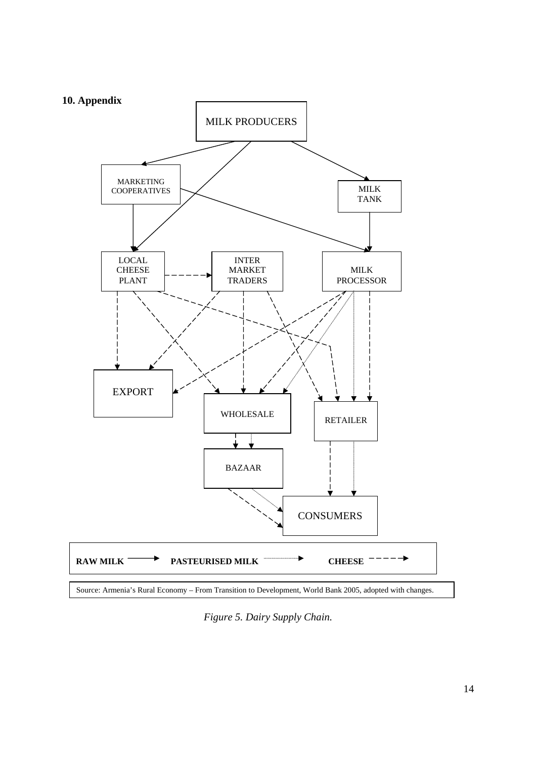

*Figure 5. Dairy Supply Chain.*